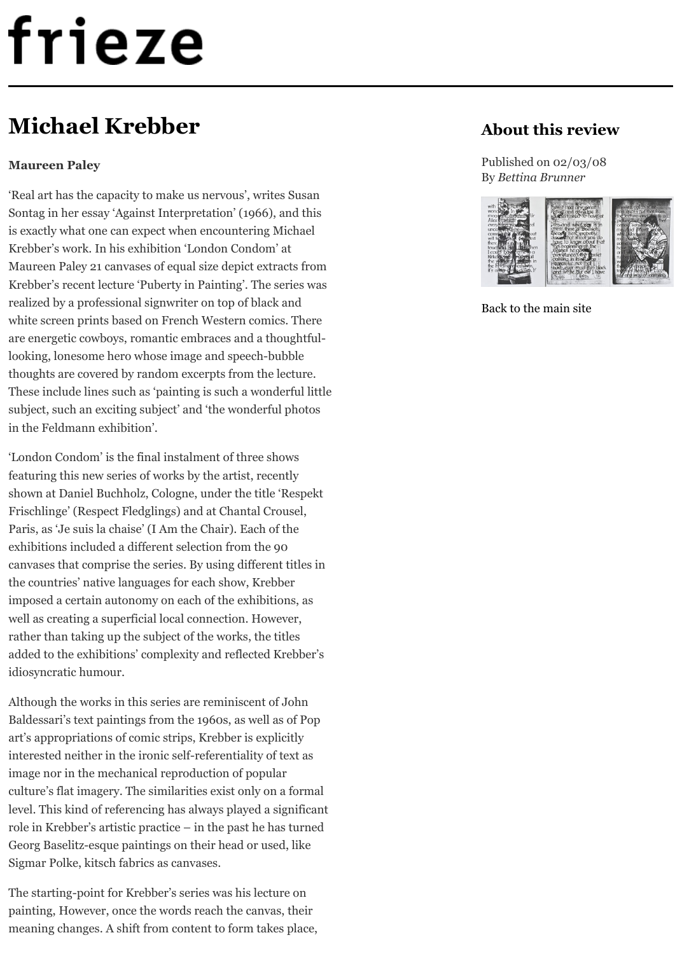Krebber's recent lecture 'Puberty in Painting'. The series was [realized by a professional signwriter o](http://www.frieze.com/)n top of black and white screen prints based on French Western comics. There are energetic cowboys, romantic embraces and a thoughtfullooking, lonesome hero whose image and speech-bubble thoughts are covered by random excerpts from the lecture. These include lines such as 'painting is such a wonderful little subject, such an exciting subject' and 'the wonderful photos in the Feldmann exhibition'.

'London Condom' is the final instalment of three shows featuring this new series of works by the artist, recently shown at Daniel Buchholz, Cologne, under the title 'Respekt Frischlinge' (Respect Fledglings) and at Chantal Crousel, Paris, as 'Je suis la chaise' (I Am the Chair). Each of the exhibitions included a different selection from the 90 canvases that comprise the series. By using different titles in the countries' native languages for each show, Krebber imposed a certain autonomy on each of the exhibitions, as well as creating a superficial local connection. However, rather than taking up the subject of the works, the titles added to the exhibitions' complexity and reflected Krebber's idiosyncratic humour.

Although the works in this series are reminiscent of John Baldessari's text paintings from the 1960s, as well as of Pop art's appropriations of comic strips, Krebber is explicitly interested neither in the ironic self-referentiality of text as image nor in the mechanical reproduction of popular culture's flat imagery. The similarities exist only on a formal level. This kind of referencing has always played a significant role in Krebber's artistic practice – in the past he has turned Georg Baselitz-esque paintings on their head or used, like Sigmar Polke, kitsch fabrics as canvases.

The starting-point for Krebber's series was his lecture on painting, However, once the words reach the canvas, their meaning changes. A shift from content to form takes place,



Back to